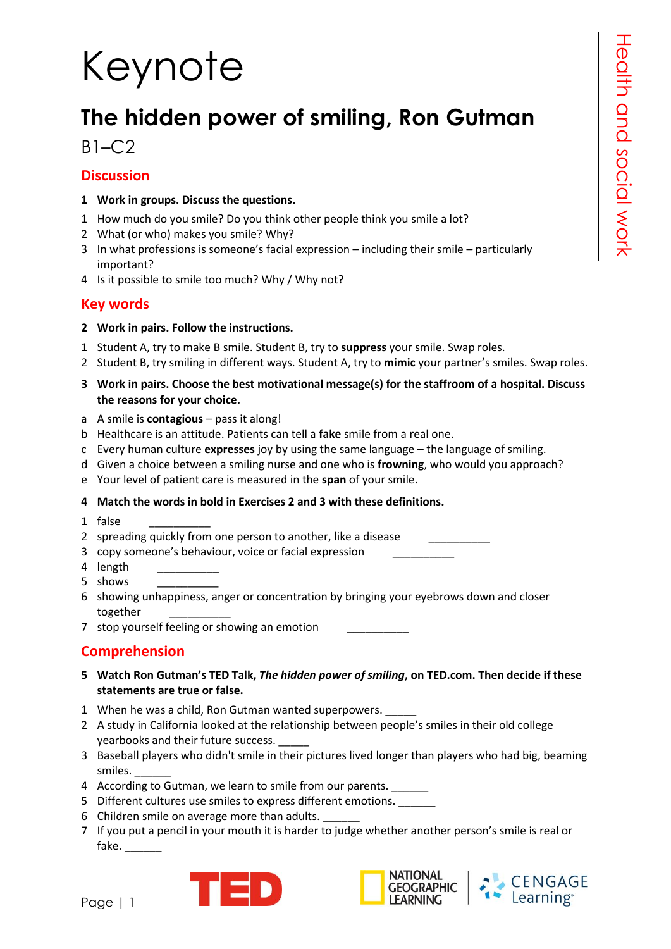# Keynote

# **The hidden power of smiling, Ron Gutman**

#### $B1-C2$

#### **Discussion**

- **1 Work in groups. Discuss the questions.**
- 1 How much do you smile? Do you think other people think you smile a lot?
- 2 What (or who) makes you smile? Why?
- 3 In what professions is someone's facial expression including their smile particularly important?
- 4 Is it possible to smile too much? Why / Why not?

#### **Key words**

#### **2 Work in pairs. Follow the instructions.**

- 1 Student A, try to make B smile. Student B, try to **suppress** your smile. Swap roles.
- 2 Student B, try smiling in different ways. Student A, try to **mimic** your partner's smiles. Swap roles.
- **3 Work in pairs. Choose the best motivational message(s) for the staffroom of a hospital. Discuss the reasons for your choice.**
- a A smile is **contagious** pass it along!
- b Healthcare is an attitude. Patients can tell a **fake** smile from a real one.
- c Every human culture **expresses** joy by using the same language the language of smiling.
- d Given a choice between a smiling nurse and one who is **frowning**, who would you approach?
- e Your level of patient care is measured in the **span** of your smile.

#### **4 Match the words in bold in Exercises 2 and 3 with these definitions.**

1 false

2 spreading quickly from one person to another, like a disease

- 3 copy someone's behaviour, voice or facial expression \_\_\_\_\_\_\_\_\_\_
- 4 length
- 5 shows \_\_\_\_\_\_\_\_\_\_
- 6 showing unhappiness, anger or concentration by bringing your eyebrows down and closer together \_\_\_\_\_\_\_\_\_\_

7 stop yourself feeling or showing an emotion

#### **Comprehension**

- **5 Watch Ron Gutman's TED Talk,** *The hidden power of smiling***, on TED.com. Then decide if these statements are true or false.**
- 1 When he was a child, Ron Gutman wanted superpowers.
- 2 A study in California looked at the relationship between people's smiles in their old college yearbooks and their future success.
- 3 Baseball players who didn't smile in their pictures lived longer than players who had big, beaming smiles. \_\_\_\_\_\_
- 4 According to Gutman, we learn to smile from our parents.
- 5 Different cultures use smiles to express different emotions.
- 6 Children smile on average more than adults.
- 7 If you put a pencil in your mouth it is harder to judge whether another person's smile is real or fake.





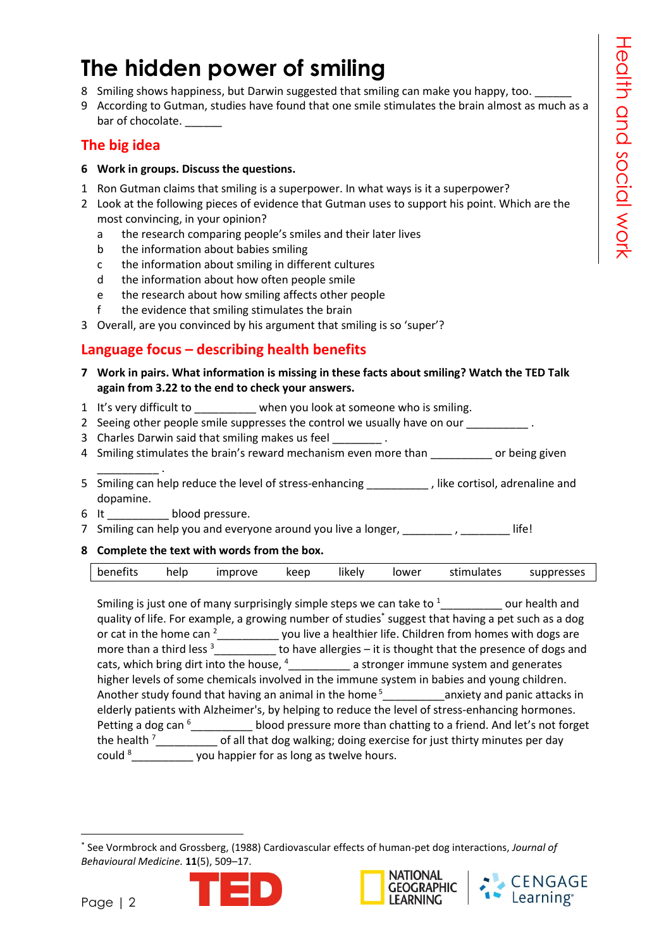### **The hidden power of smiling**

- 8 Smiling shows happiness, but Darwin suggested that smiling can make you happy, too.
- 9 According to Gutman, studies have found that one smile stimulates the brain almost as much as a bar of chocolate.

#### **The big idea**

- **6 Work in groups. Discuss the questions.**
- 1 Ron Gutman claims that smiling is a superpower. In what ways is it a superpower?
- 2 Look at the following pieces of evidence that Gutman uses to support his point. Which are the most convincing, in your opinion?
	- a the research comparing people's smiles and their later lives
	- b the information about babies smiling
	- c the information about smiling in different cultures
	- d the information about how often people smile
	- e the research about how smiling affects other people
	- f the evidence that smiling stimulates the brain
- 3 Overall, are you convinced by his argument that smiling is so 'super'?

#### **Language focus – describing health benefits**

- **7 Work in pairs. What information is missing in these facts about smiling? Watch the TED Talk again from 3.22 to the end to check your answers.**
- 1 It's very difficult to **when you look at someone who is smiling.**
- 2 Seeing other people smile suppresses the control we usually have on our  $\blacksquare$
- 3 Charles Darwin said that smiling makes us feel  $\qquad \qquad$ .
- 4 Smiling stimulates the brain's reward mechanism even more than \_\_\_\_\_\_\_\_\_\_ or being given
- 5 Smiling can help reduce the level of stress-enhancing \_\_\_\_\_\_\_\_\_\_\_\_, like cortisol, adrenaline and dopamine.
- 6 It blood pressure.

\_\_\_\_\_\_\_\_\_\_ .

- 7 Smiling can help you and everyone around you live a longer, \_\_\_\_\_\_\_, \_\_\_\_\_\_\_\_ life!
- **8 Complete the text with words from the box.**

Smiling is just one of many surprisingly simple steps we can take to <sup>1</sup> our health and quality of life. For example, a growing number of studies\* suggest that having a pet such as a dog or cat in the home can <sup>2</sup>\_\_\_\_\_\_\_\_\_\_\_ you live a healthier life. Children from homes with dogs are more than a third less  $3\frac{1}{\sqrt{1-\frac{1}{\sqrt{1-\frac{1}{\sqrt{1-\frac{1}{\sqrt{1-\frac{1}{\sqrt{1-\frac{1}{\sqrt{1-\frac{1}{\sqrt{1-\frac{1}{\sqrt{1-\frac{1}{\sqrt{1-\frac{1}{\sqrt{1-\frac{1}{\sqrt{1-\frac{1}{\sqrt{1-\frac{1}{\sqrt{1-\frac{1}{\sqrt{1-\frac{1}{\sqrt{1-\frac{1}{\sqrt{1-\frac{1}{\sqrt{1-\frac{1}{\sqrt{1-\frac{1}{\sqrt{1-\frac{1}{\sqrt{1-\frac{1}{\sqrt{1-\frac{1}{\sqrt$ cats, which bring dirt into the house,  $4_{\_\_\_\_\_\_\_\_}$  a stronger immune system and generates higher levels of some chemicals involved in the immune system in babies and young children. Another study found that having an animal in the home<sup>5</sup> anxiety and panic attacks in elderly patients with Alzheimer's, by helping to reduce the level of stress-enhancing hormones. Petting a dog can <sup>6</sup> blood pressure more than chatting to a friend. And let's not forget the health  $\frac{7}{2}$  \_\_\_\_\_\_\_\_\_\_\_\_ of all that dog walking; doing exercise for just thirty minutes per day could  $8$   $\frac{1}{2}$  could  $\frac{1}{2}$  you happier for as long as twelve hours.

<sup>1</sup> \* See Vormbrock and Grossberg, (1988) Cardiovascular effects of human-pet dog interactions, *Journal of Behavioural Medicine.* **11**(5), 509–17.